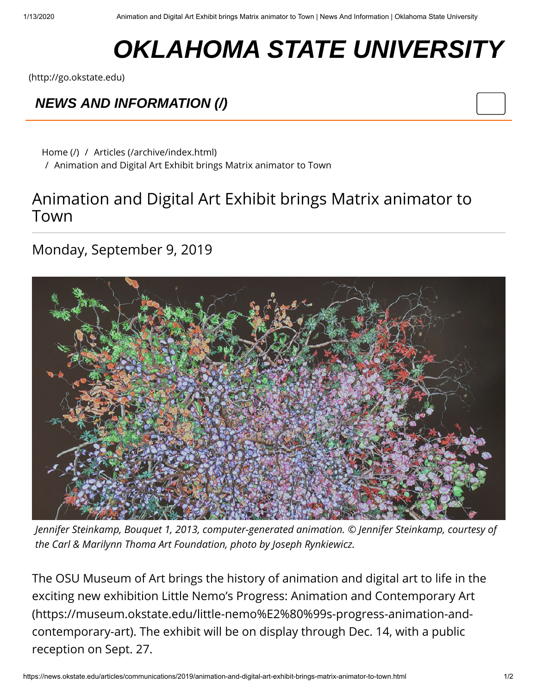## **OKLAHOMA STATE UNIVERSITY**

[\(http://go.okstate.edu\)](http://go.okstate.edu/)

## *[NEWS AND INFORMATION \(/\)](https://news.okstate.edu/)*

[Home \(/\)](https://news.okstate.edu/) / [Articles \(/archive/index.html\)](https://news.okstate.edu/archive/index.html) / Animation and Digital Art Exhibit brings Matrix animator to Town

## Animation and Digital Art Exhibit brings Matrix animator to Town

## Monday, September 9, 2019



*Jennifer Steinkamp, Bouquet 1, 2013, computer-generated animation. © Jennifer Steinkamp, courtesy of the Carl & Marilynn Thoma Art Foundation, photo by Joseph Rynkiewicz.*

The OSU Museum of Art brings the history of animation and digital art to life in the [exciting new exhibition Little Nemo's Progress: Animation and Contemporary Art](https://museum.okstate.edu/little-nemo%E2%80%99s-progress-animation-and-contemporary-art) (https://museum.okstate.edu/little-nemo%E2%80%99s-progress-animation-andcontemporary-art). The exhibit will be on display through Dec. 14, with a public reception on Sept. 27.